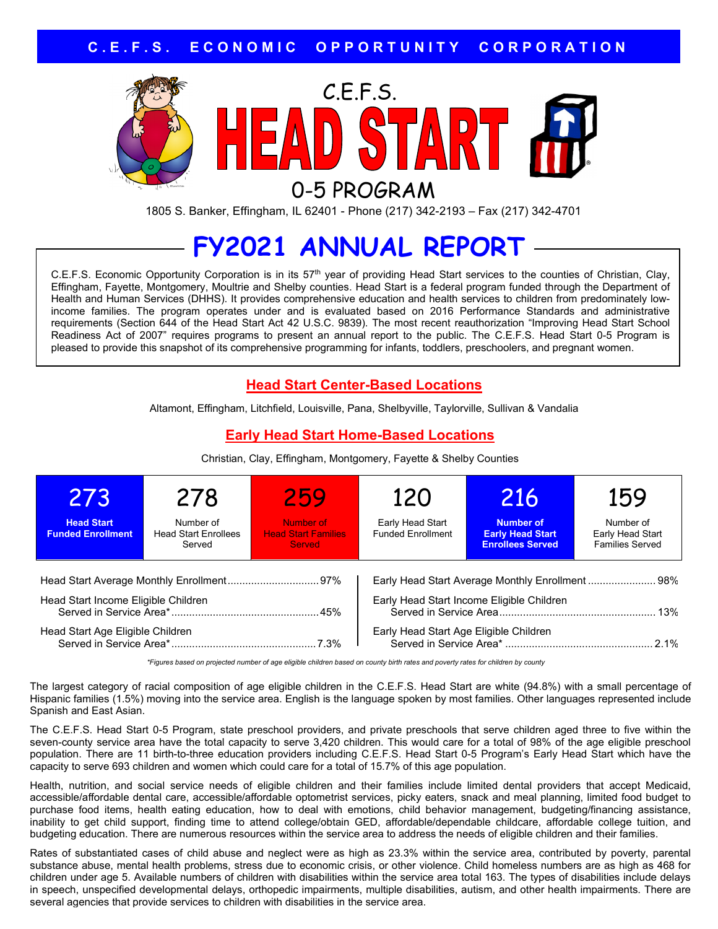

1805 S. Banker, Effingham, IL 62401 - Phone (217) 342-2193 – Fax (217) 342-4701

# **FY2021 ANNUAL REPORT**

C.E.F.S. Economic Opportunity Corporation is in its 57<sup>th</sup> year of providing Head Start services to the counties of Christian, Clay, Effingham, Fayette, Montgomery, Moultrie and Shelby counties. Head Start is a federal program funded through the Department of Health and Human Services (DHHS). It provides comprehensive education and health services to children from predominately lowincome families. The program operates under and is evaluated based on 2016 Performance Standards and administrative requirements (Section 644 of the Head Start Act 42 U.S.C. 9839). The most recent reauthorization "Improving Head Start School Readiness Act of 2007" requires programs to present an annual report to the public. The C.E.F.S. Head Start 0-5 Program is pleased to provide this snapshot of its comprehensive programming for infants, toddlers, preschoolers, and pregnant women.

### **Head Start Center-Based Locations**

Altamont, Effingham, Litchfield, Louisville, Pana, Shelbyville, Taylorville, Sullivan & Vandalia

### **Early Head Start Home-Based Locations**

Christian, Clay, Effingham, Montgomery, Fayette & Shelby Counties

| 273                                              | 278                                                | 259                                                      | 120                                            | 216                                                             | 159                                                     |
|--------------------------------------------------|----------------------------------------------------|----------------------------------------------------------|------------------------------------------------|-----------------------------------------------------------------|---------------------------------------------------------|
| <b>Head Start</b><br><b>Funded Enrollment</b>    | Number of<br><b>Head Start Enrollees</b><br>Served | Number of<br><b>Head Start Families</b><br><b>Served</b> | Early Head Start<br><b>Funded Enrollment</b>   | Number of<br><b>Early Head Start</b><br><b>Enrollees Served</b> | Number of<br>Early Head Start<br><b>Families Served</b> |
| Early Head Start Average Monthly Enrollment  98% |                                                    |                                                          |                                                |                                                                 |                                                         |
| Head Start Income Eligible Children              |                                                    |                                                          | Early Head Start Income Eligible Children      |                                                                 |                                                         |
| Head Start Age Eligible Children                 |                                                    |                                                          | Early Head Start Age Eligible Children<br>2.1% |                                                                 |                                                         |

*\*Figures based on projected number of age eligible children based on county birth rates and poverty rates for children by county*

The largest category of racial composition of age eligible children in the C.E.F.S. Head Start are white (94.8%) with a small percentage of Hispanic families (1.5%) moving into the service area. English is the language spoken by most families. Other languages represented include Spanish and East Asian.

The C.E.F.S. Head Start 0-5 Program, state preschool providers, and private preschools that serve children aged three to five within the seven-county service area have the total capacity to serve 3,420 children. This would care for a total of 98% of the age eligible preschool population. There are 11 birth-to-three education providers including C.E.F.S. Head Start 0-5 Program's Early Head Start which have the capacity to serve 693 children and women which could care for a total of 15.7% of this age population.

Health, nutrition, and social service needs of eligible children and their families include limited dental providers that accept Medicaid, accessible/affordable dental care, accessible/affordable optometrist services, picky eaters, snack and meal planning, limited food budget to purchase food items, health eating education, how to deal with emotions, child behavior management, budgeting/financing assistance, inability to get child support, finding time to attend college/obtain GED, affordable/dependable childcare, affordable college tuition, and budgeting education. There are numerous resources within the service area to address the needs of eligible children and their families.

Rates of substantiated cases of child abuse and neglect were as high as 23.3% within the service area, contributed by poverty, parental substance abuse, mental health problems, stress due to economic crisis, or other violence. Child homeless numbers are as high as 468 for children under age 5. Available numbers of children with disabilities within the service area total 163. The types of disabilities include delays in speech, unspecified developmental delays, orthopedic impairments, multiple disabilities, autism, and other health impairments. There are several agencies that provide services to children with disabilities in the service area.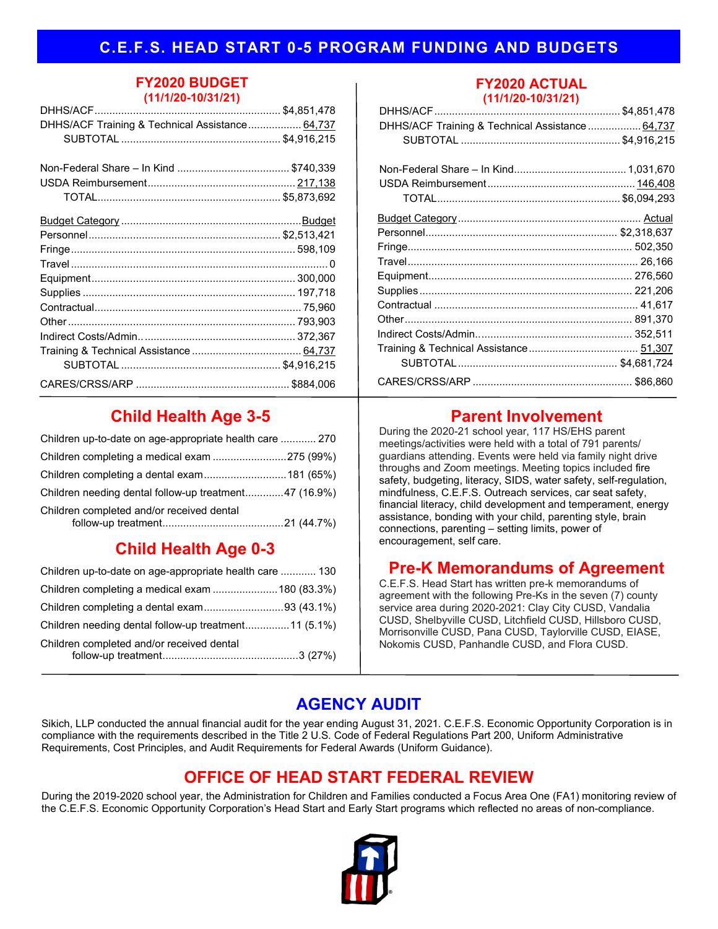### **C.E.F.S. HEAD START 0-5 PROGRAM FUNDING AND BUDGETS**

#### **FY2020 BUDGET (11/1/20-10/31/21)**

| DHHS/ACF Training & Technical Assistance 64,737 |  |
|-------------------------------------------------|--|
|                                                 |  |
|                                                 |  |
|                                                 |  |
|                                                 |  |
|                                                 |  |
|                                                 |  |
|                                                 |  |
|                                                 |  |
|                                                 |  |
|                                                 |  |
|                                                 |  |
|                                                 |  |
|                                                 |  |
|                                                 |  |
|                                                 |  |
|                                                 |  |
|                                                 |  |
|                                                 |  |

# **Child Health Age 3-5**

| Children up-to-date on age-appropriate health care  270 |  |
|---------------------------------------------------------|--|
| Children completing a medical exam 275 (99%)            |  |
|                                                         |  |
| Children needing dental follow-up treatment47 (16.9%)   |  |
| Children completed and/or received dental               |  |

# **Child Health Age 0-3**

| Children up-to-date on age-appropriate health care  130 |  |
|---------------------------------------------------------|--|
|                                                         |  |
| Children completing a dental exam93 (43.1%)             |  |
| Children needing dental follow-up treatment11 (5.1%)    |  |
| Children completed and/or received dental               |  |

#### **FY2020 ACTUAL (11/1/20-10/31/21)**

| $\blacksquare$                                   |  |
|--------------------------------------------------|--|
|                                                  |  |
| DHHS/ACF Training & Technical Assistance  64,737 |  |
|                                                  |  |
|                                                  |  |
|                                                  |  |
|                                                  |  |
|                                                  |  |
|                                                  |  |
|                                                  |  |
|                                                  |  |
|                                                  |  |
|                                                  |  |
|                                                  |  |
|                                                  |  |
|                                                  |  |
|                                                  |  |
|                                                  |  |
|                                                  |  |
|                                                  |  |

# **Parent Involvement**

During the 2020-21 school year, 117 HS/EHS parent meetings/activities were held with a total of 791 parents/ guardians attending. Events were held via family night drive throughs and Zoom meetings. Meeting topics included fire safety, budgeting, literacy, SIDS, water safety, self-regulation, mindfulness, C.E.F.S. Outreach services, car seat safety, financial literacy, child development and temperament, energy assistance, bonding with your child, parenting style, brain connections, parenting – setting limits, power of encouragement, self care.

## **Pre-K Memorandums of Agreement**

C.E.F.S. Head Start has written pre-k memorandums of agreement with the following Pre-Ks in the seven (7) county service area during 2020-2021: Clay City CUSD, Vandalia CUSD, Shelbyville CUSD, Litchfield CUSD, Hillsboro CUSD, Morrisonville CUSD, Pana CUSD, Taylorville CUSD, EIASE, Nokomis CUSD, Panhandle CUSD, and Flora CUSD.

# **AGENCY AUDIT**

Sikich, LLP conducted the annual financial audit for the year ending August 31, 2021. C.E.F.S. Economic Opportunity Corporation is in compliance with the requirements described in the Title 2 U.S. Code of Federal Regulations Part 200, Uniform Administrative Requirements, Cost Principles, and Audit Requirements for Federal Awards (Uniform Guidance).

# **OFFICE OF HEAD START FEDERAL REVIEW**

During the 2019-2020 school year, the Administration for Children and Families conducted a Focus Area One (FA1) monitoring review of the C.E.F.S. Economic Opportunity Corporation's Head Start and Early Start programs which reflected no areas of non-compliance.

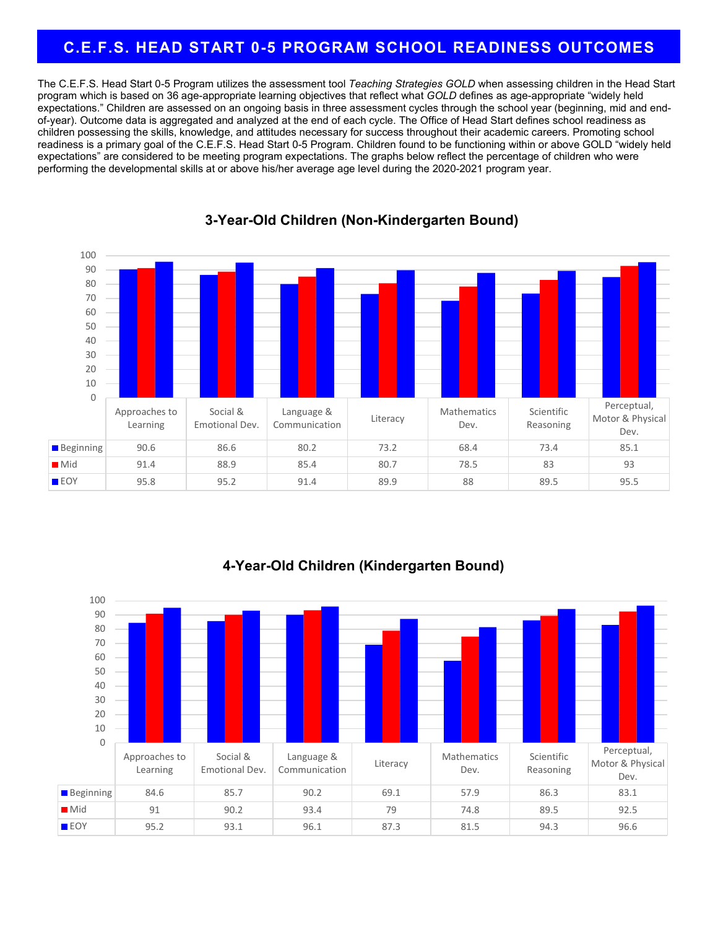### **C.E.F.S. HEAD START 0-5 PROGRAM SCHOOL READINESS OUTCOMES**

The C.E.F.S. Head Start 0-5 Program utilizes the assessment tool *Teaching Strategies GOLD* when assessing children in the Head Start program which is based on 36 age-appropriate learning objectives that reflect what *GOLD* defines as age-appropriate "widely held expectations." Children are assessed on an ongoing basis in three assessment cycles through the school year (beginning, mid and endof-year). Outcome data is aggregated and analyzed at the end of each cycle. The Office of Head Start defines school readiness as children possessing the skills, knowledge, and attitudes necessary for success throughout their academic careers. Promoting school readiness is a primary goal of the C.E.F.S. Head Start 0-5 Program. Children found to be functioning within or above GOLD "widely held expectations" are considered to be meeting program expectations. The graphs below reflect the percentage of children who were performing the developmental skills at or above his/her average age level during the 2020-2021 program year.



#### **3-Year-Old Children (Non-Kindergarten Bound)**



### **4-Year-Old Children (Kindergarten Bound)**